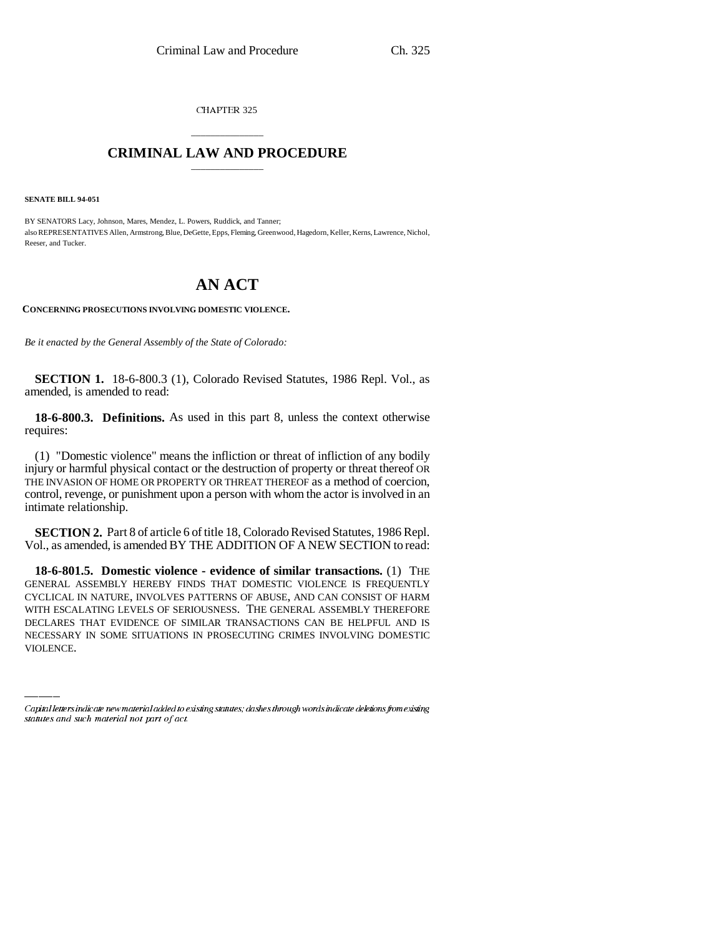CHAPTER 325

## \_\_\_\_\_\_\_\_\_\_\_\_\_\_\_ **CRIMINAL LAW AND PROCEDURE** \_\_\_\_\_\_\_\_\_\_\_\_\_\_\_

**SENATE BILL 94-051**

BY SENATORS Lacy, Johnson, Mares, Mendez, L. Powers, Ruddick, and Tanner; also REPRESENTATIVES Allen, Armstrong, Blue, DeGette, Epps, Fleming, Greenwood, Hagedorn, Keller, Kerns, Lawrence, Nichol, Reeser, and Tucker.

## **AN ACT**

**CONCERNING PROSECUTIONS INVOLVING DOMESTIC VIOLENCE.**

*Be it enacted by the General Assembly of the State of Colorado:*

**SECTION 1.** 18-6-800.3 (1), Colorado Revised Statutes, 1986 Repl. Vol., as amended, is amended to read:

**18-6-800.3. Definitions.** As used in this part 8, unless the context otherwise requires:

(1) "Domestic violence" means the infliction or threat of infliction of any bodily injury or harmful physical contact or the destruction of property or threat thereof OR THE INVASION OF HOME OR PROPERTY OR THREAT THEREOF as a method of coercion, control, revenge, or punishment upon a person with whom the actor is involved in an intimate relationship.

**SECTION 2.** Part 8 of article 6 of title 18, Colorado Revised Statutes, 1986 Repl. Vol., as amended, is amended BY THE ADDITION OF A NEW SECTION to read:

WITH ESCALATING LEVELS OF SERIOUSNESS. THE GENERAL ASSEMBLY THEREFORE **18-6-801.5. Domestic violence - evidence of similar transactions.** (1) THE GENERAL ASSEMBLY HEREBY FINDS THAT DOMESTIC VIOLENCE IS FREQUENTLY CYCLICAL IN NATURE, INVOLVES PATTERNS OF ABUSE, AND CAN CONSIST OF HARM DECLARES THAT EVIDENCE OF SIMILAR TRANSACTIONS CAN BE HELPFUL AND IS NECESSARY IN SOME SITUATIONS IN PROSECUTING CRIMES INVOLVING DOMESTIC VIOLENCE.

Capital letters indicate new material added to existing statutes; dashes through words indicate deletions from existing statutes and such material not part of act.